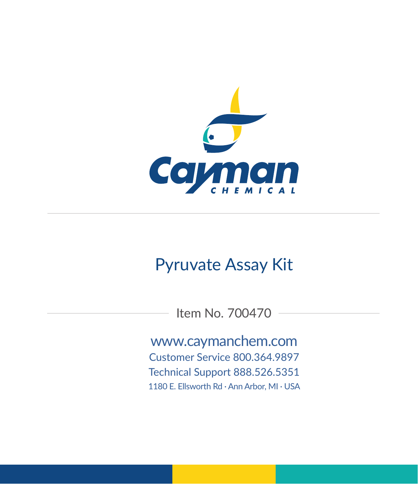

# Pyruvate Assay Kit

Item No. 700470

www.caymanchem.com

Customer Service 800.364.9897 Technical Support 888.526.5351

1180 E. Ellsworth Rd · Ann Arbor, MI · USA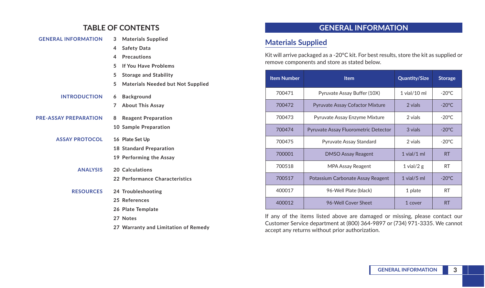### **TABLE OF CONTENTS**

| <b>GENERAL INFORMATION</b>   | 3 | <b>Materials Supplied</b>                |
|------------------------------|---|------------------------------------------|
|                              | 4 | <b>Safety Data</b>                       |
|                              | 4 | <b>Precautions</b>                       |
|                              | 5 | <b>If You Have Problems</b>              |
|                              | 5 | <b>Storage and Stability</b>             |
|                              | 5 | <b>Materials Needed but Not Supplied</b> |
| <b>INTRODUCTION</b>          | 6 | <b>Background</b>                        |
|                              | 7 | <b>About This Assay</b>                  |
| <b>PRE-ASSAY PREPARATION</b> | 8 | <b>Reagent Preparation</b>               |
|                              |   | 10 Sample Preparation                    |
| <b>ASSAY PROTOCOL</b>        |   | 16 Plate Set Up                          |
|                              |   | 18 Standard Preparation                  |
|                              |   | 19 Performing the Assay                  |
| <b>ANALYSIS</b>              |   | 20 Calculations                          |
|                              |   | 22 Performance Characteristics           |
| <b>RESOURCES</b>             |   | 24 Troubleshooting                       |
|                              |   | 25 References                            |
|                              |   | 26 Plate Template                        |
|                              |   | 27 Notes                                 |
|                              |   | 27 Warranty and Limitation of Remedy     |

## **GENERAL INFORMATION**

## **Materials Supplied**

Kit will arrive packaged as a -20°C kit. For best results, store the kit as supplied or remove components and store as stated below.

| <b>Item Number</b> | <b>Item</b>                          | <b>Quantity/Size</b> | <b>Storage</b>   |
|--------------------|--------------------------------------|----------------------|------------------|
| 700471             | Pyruvate Assay Buffer (10X)          | $1$ vial/ $10$ ml    | $-20^{\circ}$ C  |
| 700472             | Pyruvate Assay Cofactor Mixture      | 2 vials              | $-20^{\circ}$ C. |
| 700473             | Pyruvate Assay Enzyme Mixture        | 2 vials              | $-20^{\circ}$ C  |
| 700474             | Pyruvate Assay Fluorometric Detector | 3 vials              | $-20^{\circ}$ C  |
| 700475             | Pyruvate Assay Standard              | 2 vials              | $-20^{\circ}$ C  |
| 700001             | <b>DMSO Assay Reagent</b>            | $1$ vial/ $1$ ml     | <b>RT</b>        |
| 700518             | <b>MPA Assay Reagent</b>             | 1 vial/2 $g$         | <b>RT</b>        |
| 700517             | Potassium Carbonate Assay Reagent    | $1$ vial/ $5$ ml     | $-20^{\circ}$ C  |
| 400017             | 96-Well Plate (black)                | 1 plate              | <b>RT</b>        |
| 400012             | 96-Well Cover Sheet                  | 1 cover              | <b>RT</b>        |

If any of the items listed above are damaged or missing, please contact our Customer Service department at (800) 364-9897 or (734) 971-3335. We cannot accept any returns without prior authorization.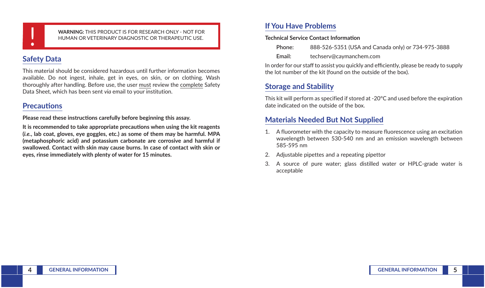**WARNING:** THIS PRODUCT IS FOR RESEARCH ONLY - NOT FOR<br>HUMAN OR VETERINARY DIAGNOSTIC OR THERAPEUTIC USE. HUMAN OR VETERINARY DIAGNOSTIC OR THERAPEUTIC USE.

## **Safety Data**

This material should be considered hazardous until further information becomes available. Do not ingest, inhale, get in eyes, on skin, or on clothing. Wash thoroughly after handling. Before use, the user must review the complete Safety Data Sheet, which has been sent *via* email to your institution.

## **Precautions**

**Please read these instructions carefully before beginning this assay.**

**It is recommended to take appropriate precautions when using the kit reagents (***i.e.***, lab coat, gloves, eye goggles, etc.) as some of them may be harmful. MPA (metaphosphoric acid) and potassium carbonate are corrosive and harmful if swallowed. Contact with skin may cause burns. In case of contact with skin or eyes, rinse immediately with plenty of water for 15 minutes.**

## **If You Have Problems**

#### **Technical Service Contact Information**

| Phone: | 888-526-5351 (USA and Canada only) or 734-975-3888 |
|--------|----------------------------------------------------|
| Email: | techserv@caymanchem.com                            |

In order for our staff to assist you quickly and efficiently, please be ready to supply the lot number of the kit (found on the outside of the box).

## **Storage and Stability**

This kit will perform as specified if stored at -20°C and used before the expiration date indicated on the outside of the box.

## **Materials Needed But Not Supplied**

- 1. A fluorometer with the capacity to measure fluorescence using an excitation wavelength between 530-540 nm and an emission wavelength between 585-595 nm
- 2. Adjustable pipettes and a repeating pipettor
- 3. A source of pure water; glass distilled water or HPLC-grade water is acceptable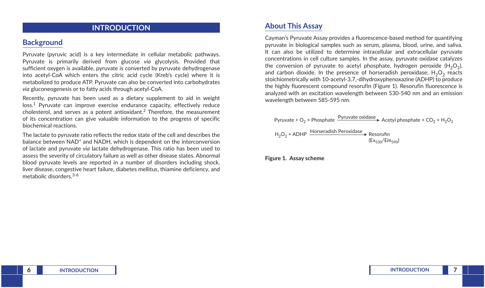### **INTRODUCTION**

### **Background**

Pyruvate (pyruvic acid) is a key intermediate in cellular metabolic pathways. Pyruvate is primarily derived from glucose *via* glycolysis. Provided that sufficient oxygen is available, pyruvate is converted by pyruvate dehydrogenase into acetyl-CoA which enters the citric acid cycle (Kreb's cycle) where it is metabolized to produce ATP. Pyruvate can also be converted into carbohydrates *via* gluconeogenesis or to fatty acids through acetyl-CoA.

Recently, pyruvate has been used as a dietary supplement to aid in weight loss.<sup>1</sup> Pyruvate can improve exercise endurance capacity, effectively reduce cholesterol, and serves as a potent antioxidant.<sup>2</sup> Therefore, the measurement of its concentration can give valuable information to the progress of specific biochemical reactions.

The lactate to pyruvate ratio reflects the redox state of the cell and describes the balance between NAD<sup>+</sup> and NADH, which is dependent on the interconversion of lactate and pyruvate *via* lactate dehydrogenase. This ratio has been used to assess the severity of circulatory failure as well as other disease states. Abnormal blood pyruvate levels are reported in a number of disorders including shock, liver disease, congestive heart failure, diabetes mellitus, thiamine deficiency, and metabolic disorders.3-6

### **About This Assay**

Cayman's Pyruvate Assay provides a fluorescence-based method for quantifying pyruvate in biological samples such as serum, plasma, blood, urine, and saliva. It can also be utilized to determine intracellular and extracellular pyruvate concentrations in cell culture samples. In the assay, pyruvate oxidase catalyzes the conversion of pyruvate to acetyl phosphate, hydrogen peroxide  $(H_2O_2)$ , and carbon dioxide. In the presence of horseradish peroxidase,  $H_2O_2$  reacts stoichiometrically with 10-acetyl-3,7,-dihydroxyphenoxazine (ADHP) to produce the highly fluorescent compound resorufin (Figure 1). Resorufin fluorescence is analyzed with an excitation wavelength between 530-540 nm and an emission wavelength between 585-595 nm.

Pyruvate + O<sub>2</sub> + Phosphate 
$$
\xrightarrow{\text{Pyruvate oxidase}}
$$

\nAcetyl phosphate + CO<sub>2</sub> + H<sub>2</sub>O<sub>2</sub>

\nH<sub>2</sub>O<sub>2</sub> + ADHP  $\xrightarrow{\text{Horseralish Peroxidase}}$ 

\nResorufin (Ex<sub>530</sub>/Em<sub>590</sub>)

**Figure 1. Assay scheme**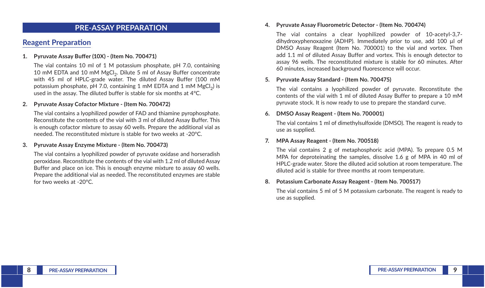### **PRE-ASSAY PREPARATION**

## **Reagent Preparation**

#### **1. Pyruvate Assay Buffer (10X) - (Item No. 700471)**

The vial contains 10 ml of 1 M potassium phosphate, pH 7.0, containing 10 mM EDTA and 10 mM MgCl<sub>2</sub>. Dilute 5 ml of Assay Buffer concentrate with 45 ml of HPLC-grade water. The diluted Assay Buffer (100 mM potassium phosphate, pH 7.0, containing 1 mM EDTA and 1 mM  $MgCl<sub>2</sub>$ ) is used in the assay. The diluted buffer is stable for six months at 4°C.

#### **2. Pyruvate Assay Cofactor Mixture - (Item No. 700472)**

The vial contains a lyophilized powder of FAD and thiamine pyrophosphate. Reconstitute the contents of the vial with 3 ml of diluted Assay Buffer. This is enough cofactor mixture to assay 60 wells. Prepare the additional vial as needed. The reconstituted mixture is stable for two weeks at -20°C.

#### **3. Pyruvate Assay Enzyme Mixture - (Item No. 700473)**

The vial contains a lyophilized powder of pyruvate oxidase and horseradish peroxidase. Reconstitute the contents of the vial with 1.2 ml of diluted Assay Buffer and place on ice. This is enough enzyme mixture to assay 60 wells. Prepare the additional vial as needed. The reconstituted enzymes are stable for two weeks at -20°C.

#### **4. Pyruvate Assay Fluorometric Detector - (Item No. 700474)**

The vial contains a clear lyophilized powder of 10-acetyl-3,7 dihydroxyphenoxazine (ADHP). Immediately prior to use, add 100 µl of DMSO Assay Reagent (Item No. 700001) to the vial and vortex. Then add 1.1 ml of diluted Assay Buffer and vortex. This is enough detector to assay 96 wells. The reconstituted mixture is stable for 60 minutes. After 60 minutes, increased background fluorescence will occur.

#### **5. Pyruvate Assay Standard - (Item No. 700475)**

The vial contains a lyophilized powder of pyruvate. Reconstitute the contents of the vial with 1 ml of diluted Assay Buffer to prepare a 10 mM pyruvate stock. It is now ready to use to prepare the standard curve.

#### **6. DMSO Assay Reagent - (Item No. 700001)**

The vial contains 1 ml of dimethylsulfoxide (DMSO). The reagent is ready to use as supplied.

#### **7. MPA Assay Reagent - (Item No. 700518)**

The vial contains 2 g of metaphosphoric acid (MPA). To prepare 0.5 M MPA for deproteinating the samples, dissolve 1.6 g of MPA in 40 ml of HPLC-grade water. Store the diluted acid solution at room temperature. The diluted acid is stable for three months at room temperature.

#### **8. Potassium Carbonate Assay Reagent - (Item No. 700517)**

The vial contains 5 ml of 5 M potassium carbonate. The reagent is ready to use as supplied.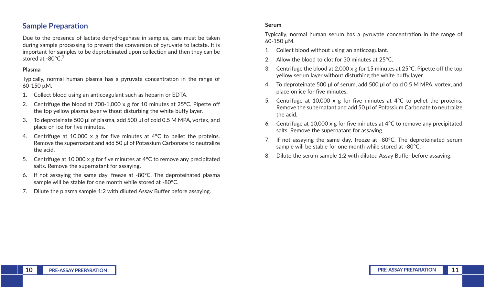## **Sample Preparation**

Due to the presence of lactate dehydrogenase in samples, care must be taken during sample processing to prevent the conversion of pyruvate to lactate. It is important for samples to be deproteinated upon collection and then they can be stored at -80°C.<sup>7</sup>

#### **Plasma**

Typically, normal human plasma has a pyruvate concentration in the range of 60-150 µM.

- 1. Collect blood using an anticoagulant such as heparin or EDTA.
- 2. Centrifuge the blood at 700-1,000 x g for 10 minutes at  $25^{\circ}$ C. Pipette off the top yellow plasma layer without disturbing the white buffy layer.
- 3. To deproteinate 500 μl of plasma, add 500 μl of cold 0.5 M MPA, vortex, and place on ice for five minutes.
- 4. Centrifuge at 10,000 x g for five minutes at 4°C to pellet the proteins. Remove the supernatant and add 50 μl of Potassium Carbonate to neutralize the acid.
- 5. Centrifuge at 10,000 x g for five minutes at 4°C to remove any precipitated salts. Remove the supernatant for assaying.
- 6. If not assaying the same day, freeze at -80°C. The deproteinated plasma sample will be stable for one month while stored at -80°C.
- 7. Dilute the plasma sample 1:2 with diluted Assay Buffer before assaying.

#### **Serum**

Typically, normal human serum has a pyruvate concentration in the range of 60-150 µM.

- 1. Collect blood without using an anticoagulant.
- Allow the blood to clot for 30 minutes at 25°C.
- 3. Centrifuge the blood at 2,000 x g for 15 minutes at  $25^{\circ}$ C. Pipette off the top yellow serum layer without disturbing the white buffy layer.
- 4. To deproteinate 500 μl of serum, add 500 μl of cold 0.5 M MPA, vortex, and place on ice for five minutes.
- 5. Centrifuge at 10,000 x g for five minutes at 4°C to pellet the proteins. Remove the supernatant and add 50 μl of Potassium Carbonate to neutralize the acid.
- 6. Centrifuge at 10,000 x g for five minutes at 4°C to remove any precipitated salts. Remove the supernatant for assaying.
- 7. If not assaying the same day, freeze at -80°C. The deproteinated serum sample will be stable for one month while stored at -80°C.
- 8. Dilute the serum sample 1:2 with diluted Assay Buffer before assaying.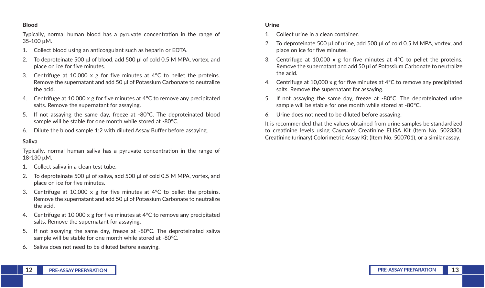#### **Blood**

Typically, normal human blood has a pyruvate concentration in the range of 35-100 µM.

- 1. Collect blood using an anticoagulant such as heparin or EDTA.
- 2. To deproteinate 500 μl of blood, add 500 μl of cold 0.5 M MPA, vortex, and place on ice for five minutes.
- 3. Centrifuge at 10,000 x g for five minutes at  $4^{\circ}$ C to pellet the proteins. Remove the supernatant and add 50 μl of Potassium Carbonate to neutralize the acid.
- 4. Centrifuge at 10,000 x g for five minutes at 4°C to remove any precipitated salts. Remove the supernatant for assaying.
- 5. If not assaying the same day, freeze at -80°C. The deproteinated blood sample will be stable for one month while stored at -80°C.
- 6. Dilute the blood sample 1:2 with diluted Assay Buffer before assaying.

#### **Saliva**

Typically, normal human saliva has a pyruvate concentration in the range of 18-130 µM.

- 1. Collect saliva in a clean test tube.
- 2. To deproteinate 500 μl of saliva, add 500 μl of cold 0.5 M MPA, vortex, and place on ice for five minutes.
- 3. Centrifuge at 10,000 x g for five minutes at 4°C to pellet the proteins. Remove the supernatant and add 50 μl of Potassium Carbonate to neutralize the acid.
- 4. Centrifuge at 10,000 x g for five minutes at 4°C to remove any precipitated salts. Remove the supernatant for assaying.
- 5. If not assaying the same day, freeze at -80°C. The deproteinated saliva sample will be stable for one month while stored at -80°C.
- 6. Saliva does not need to be diluted before assaying.

#### **Urine**

- 1. Collect urine in a clean container.
- 2. To deproteinate 500 μl of urine, add 500 μl of cold 0.5 M MPA, vortex, and place on ice for five minutes.
- 3. Centrifuge at 10,000 x g for five minutes at  $4^{\circ}$ C to pellet the proteins. Remove the supernatant and add 50 μl of Potassium Carbonate to neutralize the acid.
- 4. Centrifuge at 10,000 x g for five minutes at 4°C to remove any precipitated salts. Remove the supernatant for assaying.
- 5. If not assaying the same day, freeze at -80°C. The deproteinated urine sample will be stable for one month while stored at -80°C.
- 6. Urine does not need to be diluted before assaying.

It is recommended that the values obtained from urine samples be standardized to creatinine levels using Cayman's Creatinine ELISA Kit (Item No. 502330), Creatinine (urinary) Colorimetric Assay Kit (Item No. 500701), or a similar assay.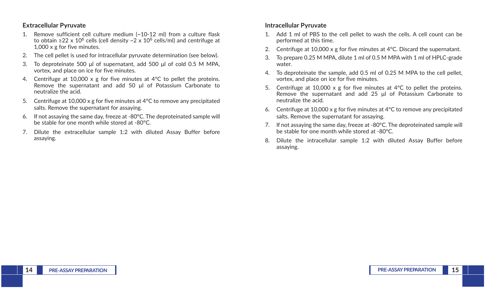#### **Extracellular Pyruvate**

- 1. Remove sufficient cell culture medium (~10-12 ml) from a culture flask to obtain ≥22 x 10<sup>6</sup> cells (cell density ~2 x 10<sup>6</sup> cells/ml) and centrifuge at 1,000 x g for five minutes.
- 2. The cell pellet is used for intracellular pyruvate determination (see below).
- 3. To deproteinate 500 μl of supernatant, add 500 μl of cold 0.5 M MPA, vortex, and place on ice for five minutes.
- 4. Centrifuge at 10,000 x g for five minutes at 4°C to pellet the proteins. Remove the supernatant and add 50 μl of Potassium Carbonate to neutralize the acid.
- 5. Centrifuge at 10,000 x g for five minutes at 4°C to remove any precipitated salts. Remove the supernatant for assaying.
- 6. If not assaying the same day, freeze at -80°C. The deproteinated sample will be stable for one month while stored at -80°C.
- 7. Dilute the extracellular sample 1:2 with diluted Assay Buffer before assaying.

#### **Intracellular Pyruvate**

- 1. Add 1 ml of PBS to the cell pellet to wash the cells. A cell count can be performed at this time.
- 2. Centrifuge at 10,000 x g for five minutes at 4°C. Discard the supernatant.
- 3. To prepare 0.25 M MPA, dilute 1 ml of 0.5 M MPA with 1 ml of HPLC-grade water.
- 4. To deproteinate the sample, add 0.5 ml of 0.25 M MPA to the cell pellet, vortex, and place on ice for five minutes.
- 5. Centrifuge at 10,000 x g for five minutes at 4°C to pellet the proteins. Remove the supernatant and add 25 μl of Potassium Carbonate to neutralize the acid.
- 6. Centrifuge at 10,000 x g for five minutes at 4°C to remove any precipitated salts. Remove the supernatant for assaying.
- 7. If not assaying the same day, freeze at -80°C. The deproteinated sample will be stable for one month while stored at -80°C.
- 8. Dilute the intracellular sample 1:2 with diluted Assay Buffer before assaying.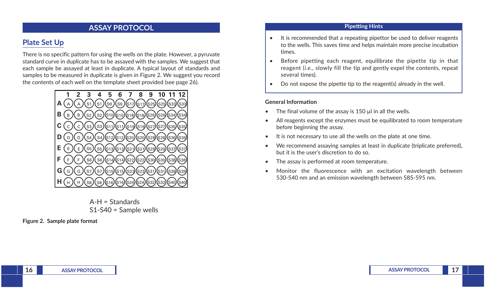### **ASSAY PROTOCOL**

## **Plate Set Up**

There is no specific pattern for using the wells on the plate. However, a pyruvate standard curve in duplicate has to be assayed with the samples. We suggest that each sample be assayed at least in duplicate. A typical layout of standards and samples to be measured in duplicate is given in Figure 2. We suggest you record the contents of each well on the template sheet provided (see page 26).



A-H = Standards S1-S40 = Sample wells

**Figure 2. Sample plate format**

#### **Pipetting Hints**

- It is recommended that a repeating pipettor be used to deliver reagents to the wells. This saves time and helps maintain more precise incubation times.
- Before pipetting each reagent, equilibrate the pipette tip in that reagent (*i.e.*, slowly fill the tip and gently expel the contents, repeat several times).
- Do not expose the pipette tip to the reagent(s) already in the well.

#### **General Information**

- The final volume of the assay is 150 µl in all the wells.
- All reagents except the enzymes must be equilibrated to room temperature before beginning the assay.
- It is not necessary to use all the wells on the plate at one time.
- We recommend assaying samples at least in duplicate (triplicate preferred), but it is the user's discretion to do so.
- The assay is performed at room temperature.
- Monitor the fluorescence with an excitation wavelength between 530-540 nm and an emission wavelength between 585-595 nm.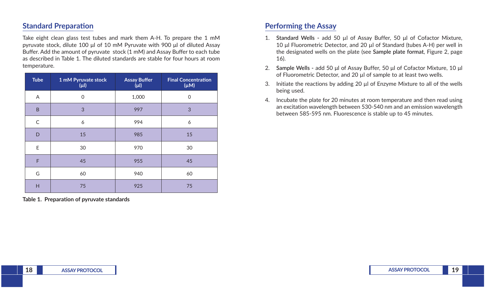## **Standard Preparation**

Take eight clean glass test tubes and mark them A-H. To prepare the 1 mM pyruvate stock, dilute 100 μl of 10 mM Pyruvate with 900 μl of diluted Assay Buffer. Add the amount of pyruvate stock (1 mM) and Assay Buffer to each tube as described in Table 1. The diluted standards are stable for four hours at room temperature.

| <b>Tube</b>  | 1 mM Pyruvate stock<br>$(\mu$ l) | <b>Assay Buffer</b><br>$(\mu$ | <b>Final Concentration</b><br>$(\mu M)$ |
|--------------|----------------------------------|-------------------------------|-----------------------------------------|
| A            | $\mathbf 0$                      | 1,000                         | $\mathbf 0$                             |
| B            | 3                                | 997                           | 3                                       |
| $\mathsf{C}$ | 6                                | 994                           | 6                                       |
| D            | 15                               | 985                           | 15                                      |
| E            | 30                               | 970                           | 30                                      |
| F            | 45                               | 955                           | 45                                      |
| G            | 60                               | 940                           | 60                                      |
| H            | 75                               | 925                           | 75                                      |

**Table 1. Preparation of pyruvate standards**

## **Performing the Assay**

- 1. **Standard Wells -** add 50 µl of Assay Buffer, 50 μl of Cofactor Mixture, 10 μl Fluorometric Detector, and 20 µl of Standard (tubes A-H) per well in the designated wells on the plate (see **Sample plate format**, Figure 2, page 16).
- 2. **Sample Wells -** add 50 μl of Assay Buffer, 50 μl of Cofactor Mixture, 10 μl of Fluorometric Detector, and 20 µl of sample to at least two wells.
- 3. Initiate the reactions by adding 20  $\mu$  of Enzyme Mixture to all of the wells being used.
- 4. Incubate the plate for 20 minutes at room temperature and then read using an excitation wavelength between 530-540 nm and an emission wavelength between 585-595 nm. Fluorescence is stable up to 45 minutes.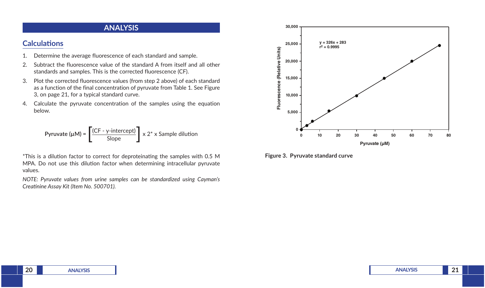### **ANALYSIS**

## **Calculations**

- 1. Determine the average fluorescence of each standard and sample.
- 2. Subtract the fluorescence value of the standard A from itself and all other standards and samples. This is the corrected fluorescence (CF).
- 3. Plot the corrected fluorescence values (from step 2 above) of each standard as a function of the final concentration of pyruvate from Table 1. See Figure 3, on page 21, for a typical standard curve.
- 4. Calculate the pyruvate concentration of the samples using the equation below.

$$
Pyruvate (µM) = \left[ \frac{(CF - y\text{-intercept})}{Slope} \right] \times 2^* \times \text{Sample dilution}
$$

\*This is a dilution factor to correct for deproteinating the samples with 0.5 M MPA. Do not use this dilution factor when determining intracellular pyruvate values.

*NOTE: Pyruvate values from urine samples can be standardized using Cayman's Creatinine Assay Kit (Item No. 500701).*



#### **Figure 3. Pyruvate standard curve**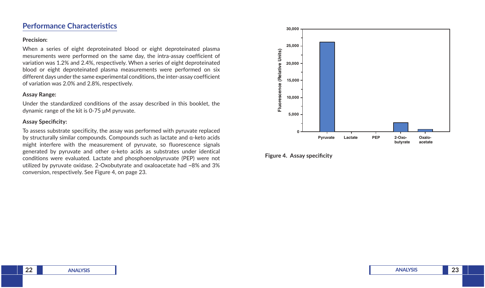### **Performance Characteristics**

#### **Precision:**

When a series of eight deproteinated blood or eight deproteinated plasma mesurements were performed on the same day, the intra-assay coefficient of variation was 1.2% and 2.4%, respectively. When a series of eight deproteinated blood or eight deproteinated plasma measurements were performed on six different days under the same experimental conditions, the inter-assay coefficient of variation was 2.0% and 2.8%, respectively.

#### **Assay Range:**

Under the standardized conditions of the assay described in this booklet, the dynamic range of the kit is 0-75 μM pyruvate.

#### **Assay Specificity:**

To assess substrate specificity, the assay was performed with pyruvate replaced by structurally similar compounds. Compounds such as lactate and α-keto acids might interfere with the measurement of pyruvate, so fluorescence signals generated by pyruvate and other α-keto acids as substrates under identical conditions were evaluated. Lactate and phosphoenolpyruvate (PEP) were not utilized by pyruvate oxidase. 2-Oxobutyrate and oxaloacetate had ~8% and 3% conversion, respectively. See Figure 4, on page 23.



**Figure 4. Assay specificity**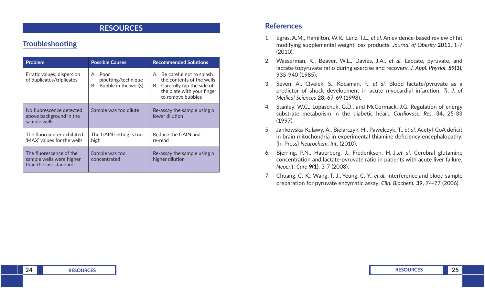### **RESOURCES**

## **Troubleshooting**

| <b>Problem</b>                                                                | <b>Possible Causes</b>                                        | <b>Recommended Solutions</b>                                                                                                                   |
|-------------------------------------------------------------------------------|---------------------------------------------------------------|------------------------------------------------------------------------------------------------------------------------------------------------|
| Erratic values; dispersion<br>of duplicates/triplicates                       | A. Poor<br>pipetting/technique<br>Bubble in the well(s)<br>В. | A. Be careful not to splash<br>the contents of the wells<br>Carefully tap the side of<br>В.<br>the plate with your finger<br>to remove bubbles |
| No fluorescence detected<br>above background in the<br>sample wells           | Sample was too dilute                                         | Re-assay the sample using a<br>lower dilution                                                                                                  |
| The fluorometer exhibited<br>'MAX' values for the wells                       | The GAIN setting is too<br>high                               | Reduce the GAIN and<br>re-read                                                                                                                 |
| The fluorescence of the<br>sample wells were higher<br>than the last standard | Sample was too<br>concentrated                                | Re-assay the sample using a<br>higher dilution                                                                                                 |

### **References**

- 1. Egras, A.M., Hamilton, W.R., Lenz, T.L., *et al.* An evidence-based review of fat modifying supplemental weight loss products. *Journal of Obesity* **2011**, 1-7 (2010).
- 2. Wasserman, K., Beaver, W.L., Davies, J.A., *et al.* Lactate, pyruvate, and lactate-topyruvate ratio during exercise and recovery. *J. Appl. Physiol.* **59(3)**, 935-940 (1985).
- 3. Seven, A., Clvelek, S., Kocaman, F., *et al.* Blood lactate/pyruvate as a predictor of shock development in acute myocardial infarction. *Tr. J. of Medical Sciences* **28**, 67-69 (1998).
- 4. Stanley, W.C., Lopaschuk, G.D., and McCormack, J.G. Regulation of energy substrate metabolism in the diabetic heart. *Cardiovasc. Res.* **34**, 25-33 (1997).
- 5. Jankowska-Kulawy, A., Bielarczyk, H., Pawelczyk, T., *et al.* Acetyl-CoA deficit in brain mitochondria in experimental thiamine deficiency encephalopathy, [In Press] *Neurochem. Int.* (2010).
- 6. Bjerring, P.N., Hauerberg, J., Frederiksen, H.-J.,*et al.* Cerebral glutamine concentration and lactate-pyruvate ratio in patients with acute liver failure. *Neocrit. Care* **9(1)**, 3-7 (2008).
- 7. Chuang, C.-K., Wang, T.-J., Yeung, C.-Y., *et al.* Interference and blood sample preparation for pyruvate enzymatic assay. *Clin. Biochem.* **39**, 74-77 (2006).